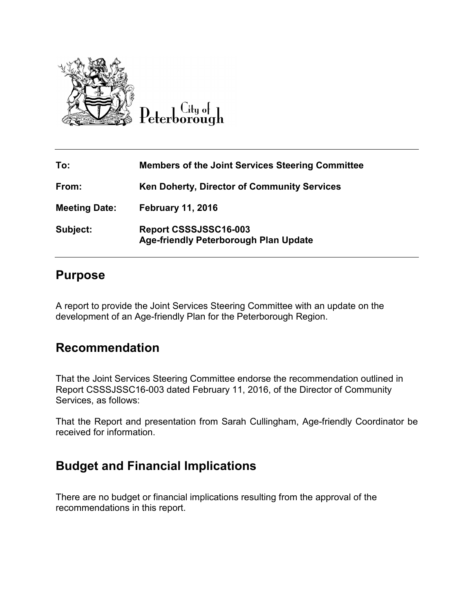

Peterborough

| To:                  | <b>Members of the Joint Services Steering Committee</b>               |
|----------------------|-----------------------------------------------------------------------|
| From:                | <b>Ken Doherty, Director of Community Services</b>                    |
| <b>Meeting Date:</b> | <b>February 11, 2016</b>                                              |
| Subject:             | Report CSSSJSSC16-003<br><b>Age-friendly Peterborough Plan Update</b> |

## **Purpose**

A report to provide the Joint Services Steering Committee with an update on the development of an Age-friendly Plan for the Peterborough Region.

## **Recommendation**

That the Joint Services Steering Committee endorse the recommendation outlined in Report CSSSJSSC16-003 dated February 11, 2016, of the Director of Community Services, as follows:

That the Report and presentation from Sarah Cullingham, Age-friendly Coordinator be received for information.

## **Budget and Financial Implications**

There are no budget or financial implications resulting from the approval of the recommendations in this report.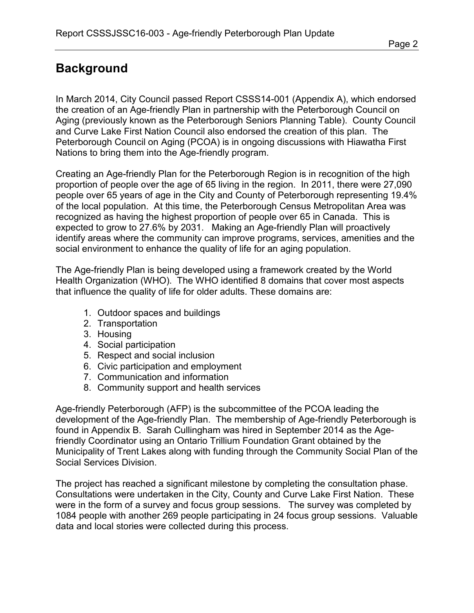## **Background**

In March 2014, City Council passed Report CSSS14-001 (Appendix A), which endorsed the creation of an Age-friendly Plan in partnership with the Peterborough Council on Aging (previously known as the Peterborough Seniors Planning Table). County Council and Curve Lake First Nation Council also endorsed the creation of this plan. The Peterborough Council on Aging (PCOA) is in ongoing discussions with Hiawatha First Nations to bring them into the Age-friendly program.

Creating an Age-friendly Plan for the Peterborough Region is in recognition of the high proportion of people over the age of 65 living in the region. In 2011, there were 27,090 people over 65 years of age in the City and County of Peterborough representing 19.4% of the local population. At this time, the Peterborough Census Metropolitan Area was recognized as having the highest proportion of people over 65 in Canada. This is expected to grow to 27.6% by 2031. Making an Age-friendly Plan will proactively identify areas where the community can improve programs, services, amenities and the social environment to enhance the quality of life for an aging population.

The Age-friendly Plan is being developed using a framework created by the World Health Organization (WHO). The WHO identified 8 domains that cover most aspects that influence the quality of life for older adults. These domains are:

- 1. Outdoor spaces and buildings
- 2. Transportation
- 3. Housing
- 4. Social participation
- 5. Respect and social inclusion
- 6. Civic participation and employment
- 7. Communication and information
- 8. Community support and health services

Age-friendly Peterborough (AFP) is the subcommittee of the PCOA leading the development of the Age-friendly Plan. The membership of Age-friendly Peterborough is found in Appendix B. Sarah Cullingham was hired in September 2014 as the Agefriendly Coordinator using an Ontario Trillium Foundation Grant obtained by the Municipality of Trent Lakes along with funding through the Community Social Plan of the Social Services Division.

The project has reached a significant milestone by completing the consultation phase. Consultations were undertaken in the City, County and Curve Lake First Nation. These were in the form of a survey and focus group sessions. The survey was completed by 1084 people with another 269 people participating in 24 focus group sessions. Valuable data and local stories were collected during this process.